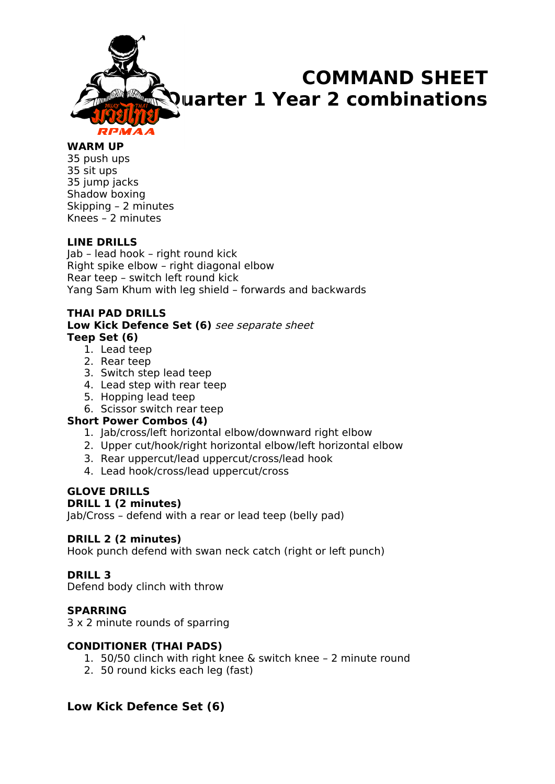

**COMMAND SHEET Quarter 1 Year 2 combinations**

### **WARM UP**

35 push ups 35 sit ups 35 jump jacks Shadow boxing Skipping – 2 minutes Knees – 2 minutes

## **LINE DRILLS**

Jab – lead hook – right round kick Right spike elbow – right diagonal elbow Rear teep – switch left round kick Yang Sam Khum with leg shield – forwards and backwards

#### **THAI PAD DRILLS Low Kick Defence Set (6)** see separate sheet **Teep Set (6)**

- 1. Lead teep
- 2. Rear teep
- 3. Switch step lead teep
- 4. Lead step with rear teep
- 5. Hopping lead teep
- 6. Scissor switch rear teep

## **Short Power Combos (4)**

- 1. Jab/cross/left horizontal elbow/downward right elbow
- 2. Upper cut/hook/right horizontal elbow/left horizontal elbow
- 3. Rear uppercut/lead uppercut/cross/lead hook
- 4. Lead hook/cross/lead uppercut/cross

## **GLOVE DRILLS**

## **DRILL 1 (2 minutes)**

Jab/Cross – defend with a rear or lead teep (belly pad)

#### **DRILL 2 (2 minutes)**

Hook punch defend with swan neck catch (right or left punch)

## **DRILL 3**

Defend body clinch with throw

## **SPARRING**

3 x 2 minute rounds of sparring

#### **CONDITIONER (THAI PADS)**

- 1. 50/50 clinch with right knee & switch knee 2 minute round
- 2. 50 round kicks each leg (fast)

## **Low Kick Defence Set (6)**